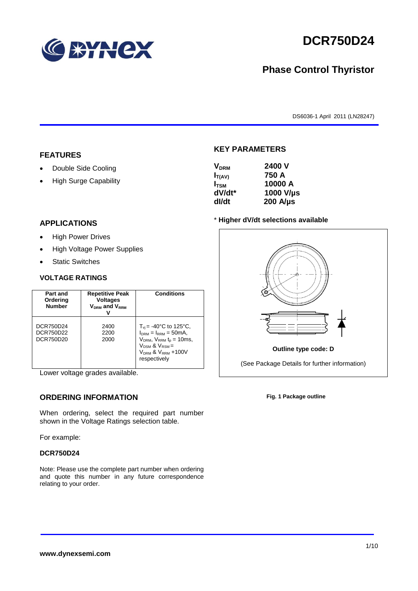

# **DCR750D24**

# **Phase Control Thyristor**

DS6036-1 April 2011 (LN28247)

#### **FEATURES**

- Double Side Cooling
- High Surge Capability

# **APPLICATIONS**

- High Power Drives
- High Voltage Power Supplies
- Static Switches

#### **VOLTAGE RATINGS**

| Part and<br>Ordering<br><b>Number</b> | <b>Repetitive Peak</b><br><b>Voltages</b><br>$V_{DRM}$ and $V_{RRM}$ | <b>Conditions</b>                                                                                                                                                             |
|---------------------------------------|----------------------------------------------------------------------|-------------------------------------------------------------------------------------------------------------------------------------------------------------------------------|
| DCR750D24<br>DCR750D22<br>DCR750D20   | 2400<br>2200<br>2000                                                 | $T_{vi}$ = -40°C to 125°C,<br>$I_{DRM} = I_{RRM} = 50mA$ ,<br>$V_{DRM}$ , $V_{RRM}$ $t_{p}$ = 10ms,<br>$V_{DSM}$ & $V_{RSM}$ =<br>$V_{DRM}$ & $V_{RRM}$ +100V<br>respectively |

Lower voltage grades available.

# **ORDERING INFORMATION**

When ordering, select the required part number shown in the Voltage Ratings selection table.

For example:

#### **DCR750D24**

Note: Please use the complete part number when ordering and quote this number in any future correspondence relating to your order.

### **KEY PARAMETERS**

| <b>V<sub>DRM</sub></b> | 2400 V           |
|------------------------|------------------|
| $I_{T(AV)}$            | 750 A            |
| $I_{TSM}$              | 10000 A          |
| dV/dt*                 | 1000 V/µs        |
| dl/dt                  | $200$ A/ $\mu$ s |

#### \* **Higher dV/dt selections available**



**Fig. 1 Package outline**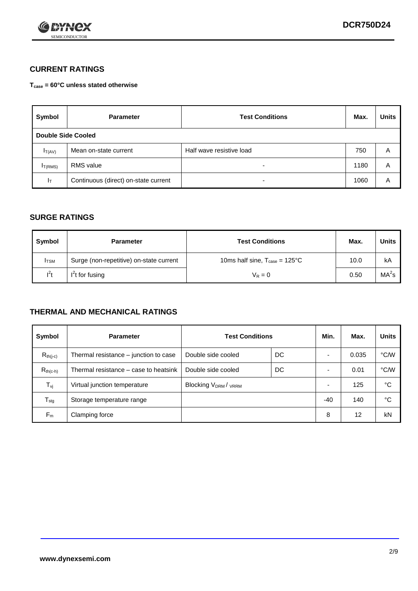

# **CURRENT RATINGS**

**Tcase = 60°C unless stated otherwise**

| Symbol             | <b>Parameter</b>                     | <b>Test Conditions</b>   |      | <b>Units</b> |  |
|--------------------|--------------------------------------|--------------------------|------|--------------|--|
| Double Side Cooled |                                      |                          |      |              |  |
| $I_{T(AV)}$        | Mean on-state current                | Half wave resistive load | 750  | A            |  |
| $I_{T(RMS)}$       | RMS value                            | $\overline{\phantom{a}}$ | 1180 | Α            |  |
| Iт                 | Continuous (direct) on-state current | $\overline{\phantom{a}}$ | 1060 | Α            |  |

### **SURGE RATINGS**

| <b>Symbol</b> | <b>Parameter</b>                        | <b>Test Conditions</b>                           | Max. | <b>Units</b>      |
|---------------|-----------------------------------------|--------------------------------------------------|------|-------------------|
| <b>I</b> TSM  | Surge (non-repetitive) on-state current | 10ms half sine, $T_{\text{case}} = 125^{\circ}C$ | 10.0 | kA                |
| $l^2t$        | $I2t$ for fusing                        | $V_R = 0$                                        | 0.50 | MA <sup>2</sup> s |

## **THERMAL AND MECHANICAL RATINGS**

| Symbol           | <b>Parameter</b>                      | <b>Test Conditions</b>                      |    | Min.                     | Max.  | <b>Units</b> |
|------------------|---------------------------------------|---------------------------------------------|----|--------------------------|-------|--------------|
| $R_{th(j-c)}$    | Thermal resistance – junction to case | Double side cooled                          | DC |                          | 0.035 | °C/W         |
| $R_{th(c-h)}$    | Thermal resistance – case to heatsink | Double side cooled                          | DC |                          | 0.01  | °C/W         |
| $T_{\nu j}$      | Virtual junction temperature          | Blocking V <sub>DRM</sub> / <sub>VRRM</sub> |    | $\overline{\phantom{0}}$ | 125   | °C           |
| $T_{\text{stg}}$ | Storage temperature range             |                                             |    | -40                      | 140   | °C           |
| $F_m$            | Clamping force                        |                                             |    | 8                        | 12    | kN           |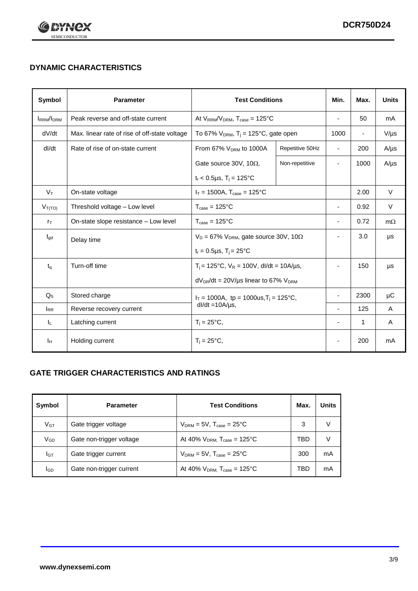

# **DYNAMIC CHARACTERISTICS**

| Symbol            | <b>Parameter</b>                              | <b>Test Conditions</b>                                                |                 | Min.                     | Max.                     | <b>Units</b> |
|-------------------|-----------------------------------------------|-----------------------------------------------------------------------|-----------------|--------------------------|--------------------------|--------------|
| <b>IRRM</b> /IDRM | Peak reverse and off-state current            | At $V_{RRM}/V_{DRM}$ , $T_{case} = 125^{\circ}C$                      |                 | $\blacksquare$           | 50                       | mA           |
| dV/dt             | Max. linear rate of rise of off-state voltage | To 67% $V_{DRM}$ , T <sub>i</sub> = 125°C, gate open                  |                 | 1000                     | $\overline{\phantom{a}}$ | $V/\mu s$    |
| dl/dt             | Rate of rise of on-state current              | From 67% V <sub>DRM</sub> to 1000A                                    | Repetitive 50Hz | $\overline{\phantom{a}}$ | 200                      | $A/\mu s$    |
|                   |                                               | Gate source 30V, 10 $\Omega$ ,                                        | Non-repetitive  | $\overline{\phantom{a}}$ | 1000                     | $A/\mu s$    |
|                   |                                               | $t_r$ < 0.5µs, T <sub>j</sub> = 125°C                                 |                 |                          |                          |              |
| $V_T$             | On-state voltage                              | $I_T = 1500A$ , $T_{case} = 125^{\circ}C$                             |                 |                          | 2.00                     | $\vee$       |
| $V_{T(TO)}$       | Threshold voltage - Low level                 | $T_{\text{case}} = 125^{\circ}C$                                      |                 |                          | 0.92                     | $\vee$       |
| $r_{\text{T}}$    | On-state slope resistance - Low level         | $T_{\text{case}} = 125^{\circ}C$                                      |                 | $\overline{\phantom{a}}$ | 0.72                     | $m\Omega$    |
| $t_{\rm gd}$      | Delay time                                    | $V_D = 67\%$ V <sub>DRM</sub> , gate source 30V, 10 $\Omega$          |                 | ÷,                       | 3.0                      | μs           |
|                   |                                               | $t_r = 0.5 \mu s$ , $T_i = 25^{\circ}C$                               |                 |                          |                          |              |
| $t_{q}$           | Turn-off time                                 | $T_i$ = 125°C, $V_R$ = 100V, dl/dt = 10A/µs,                          |                 | $\overline{\phantom{a}}$ | 150                      | μs           |
|                   |                                               | $dV_{DR}/dt = 20V/\mu s$ linear to 67% $V_{DRM}$                      |                 |                          |                          |              |
| $Q_{\rm S}$       | Stored charge                                 | $I_T = 1000A$ , tp = 1000us, $T_i = 125$ °C,<br>$dl/dt = 10A/\mu s$ , |                 |                          | 2300                     | μC           |
| $I_{RR}$          | Reverse recovery current                      |                                                                       |                 |                          | 125                      | A            |
| IL.               | Latching current                              | $T_i = 25^{\circ}C$ ,                                                 |                 | $\overline{\phantom{a}}$ | $\mathbf{1}$             | Α            |
| Iн                | Holding current                               | $T_i = 25^{\circ}C,$                                                  |                 |                          | 200                      | mA           |

# **GATE TRIGGER CHARACTERISTICS AND RATINGS**

| Symbol          | <b>Parameter</b>         | <b>Test Conditions</b>                    | Max. | <b>Units</b> |
|-----------------|--------------------------|-------------------------------------------|------|--------------|
| V <sub>GT</sub> | Gate trigger voltage     | $V_{DRM}$ = 5V, $T_{case}$ = 25°C         | 3    |              |
| $V_{GD}$        | Gate non-trigger voltage | At 40% $V_{DRM}$ , $T_{case}$ = 125°C     | TBD  |              |
| Iст             | Gate trigger current     | $V_{DRM} = 5V$ , $T_{case} = 25^{\circ}C$ | 300  | mA           |
| <b>I</b> GD     | Gate non-trigger current | At 40% $V_{DRM}$ , $T_{case}$ = 125°C     | TBD  | mA           |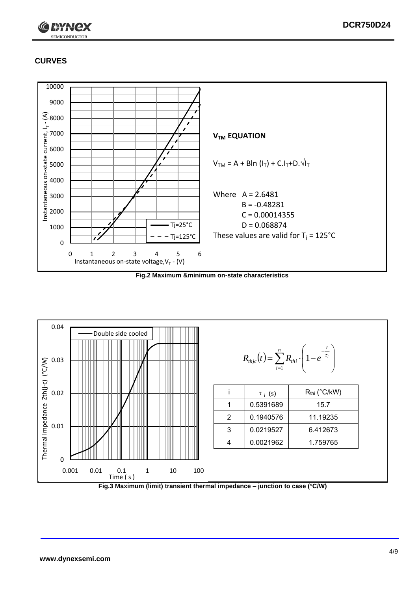

# **CURVES**



**Fig.2 Maximum &minimum on-state characteristics**



**Fig.3 Maximum (limit) transient thermal impedance – junction to case (°C/W)**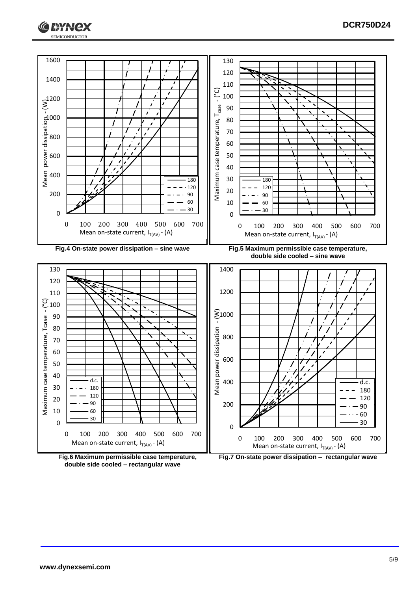



**double side cooled – rectangular wave**

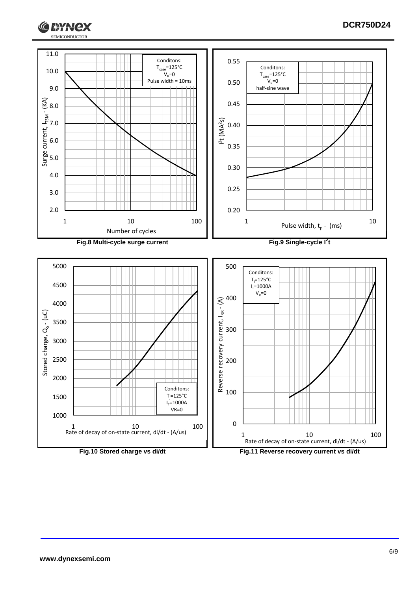

## **DCR750D24**

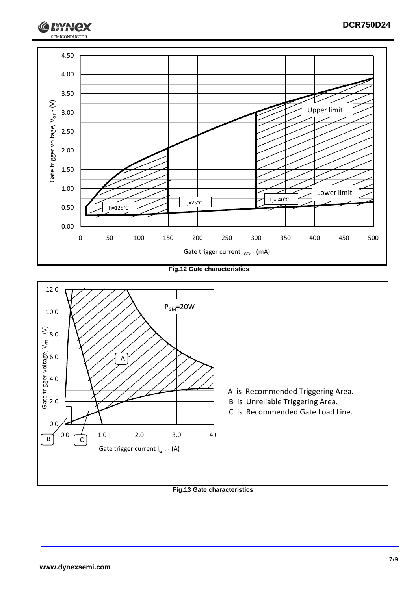

**Fig.12 Gate characteristics**



**Fig.13 Gate characteristics**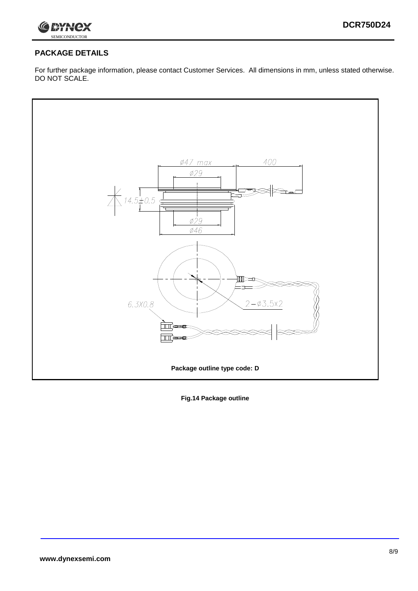

# **PACKAGE DETAILS**

For further package information, please contact Customer Services. All dimensions in mm, unless stated otherwise. DO NOT SCALE.



**Fig.14 Package outline**